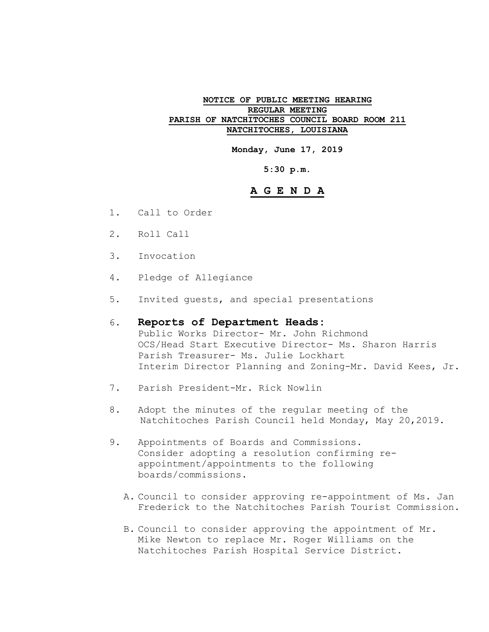### **NOTICE OF PUBLIC MEETING HEARING REGULAR MEETING PARISH OF NATCHITOCHES COUNCIL BOARD ROOM 211 NATCHITOCHES, LOUISIANA**

**Monday, June 17, 2019**

### **5:30 p.m.**

### **A G E N D A**

- 1. Call to Order
- 2. Roll Call
- 3. Invocation
- 4. Pledge of Allegiance
- 5. Invited guests, and special presentations

# 6. **Reports of Department Heads:**

Public Works Director- Mr. John Richmond OCS/Head Start Executive Director- Ms. Sharon Harris Parish Treasurer- Ms. Julie Lockhart Interim Director Planning and Zoning-Mr. David Kees, Jr.

- 7. Parish President-Mr. Rick Nowlin
- 8. Adopt the minutes of the regular meeting of the Natchitoches Parish Council held Monday, May 20,2019.
- 9. Appointments of Boards and Commissions. Consider adopting a resolution confirming reappointment/appointments to the following boards/commissions.
	- A. Council to consider approving re-appointment of Ms. Jan Frederick to the Natchitoches Parish Tourist Commission.
	- B. Council to consider approving the appointment of Mr. Mike Newton to replace Mr. Roger Williams on the Natchitoches Parish Hospital Service District.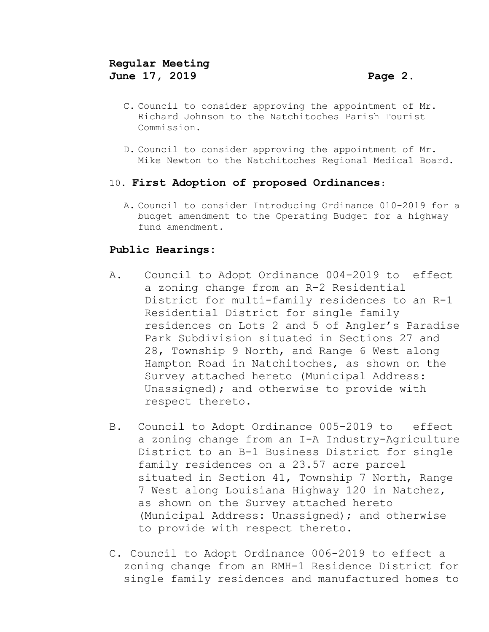- C. Council to consider approving the appointment of Mr. Richard Johnson to the Natchitoches Parish Tourist Commission.
- D. Council to consider approving the appointment of Mr. Mike Newton to the Natchitoches Regional Medical Board.

### 10. **First Adoption of proposed Ordinances**:

A. Council to consider Introducing Ordinance 010-2019 for a budget amendment to the Operating Budget for a highway fund amendment.

## **Public Hearings:**

- A**.** Council to Adopt Ordinance 004-2019 to effect a zoning change from an R-2 Residential District for multi-family residences to an R-1 Residential District for single family residences on Lots 2 and 5 of Angler's Paradise Park Subdivision situated in Sections 27 and 28, Township 9 North, and Range 6 West along Hampton Road in Natchitoches, as shown on the Survey attached hereto (Municipal Address: Unassigned); and otherwise to provide with respect thereto.
- B. Council to Adopt Ordinance 005-2019 to effect a zoning change from an I-A Industry-Agriculture District to an B-1 Business District for single family residences on a 23.57 acre parcel situated in Section 41, Township 7 North, Range 7 West along Louisiana Highway 120 in Natchez, as shown on the Survey attached hereto (Municipal Address: Unassigned); and otherwise to provide with respect thereto.
- C. Council to Adopt Ordinance 006-2019 to effect a zoning change from an RMH-1 Residence District for single family residences and manufactured homes to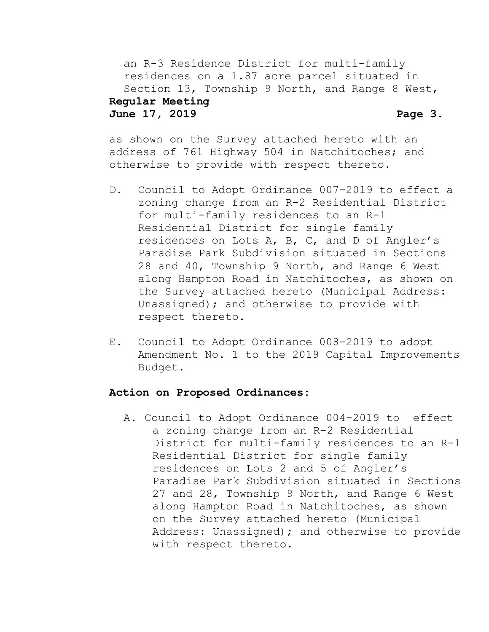an R-3 Residence District for multi-family residences on a 1.87 acre parcel situated in Section 13, Township 9 North, and Range 8 West,

### **Regular Meeting June 17, 2019 Page 3.**

as shown on the Survey attached hereto with an address of 761 Highway 504 in Natchitoches; and otherwise to provide with respect thereto.

- D. Council to Adopt Ordinance 007-2019 to effect a zoning change from an R-2 Residential District for multi-family residences to an R-1 Residential District for single family residences on Lots A, B, C, and D of Angler's Paradise Park Subdivision situated in Sections 28 and 40, Township 9 North, and Range 6 West along Hampton Road in Natchitoches, as shown on the Survey attached hereto (Municipal Address: Unassigned); and otherwise to provide with respect thereto.
- E. Council to Adopt Ordinance 008-2019 to adopt Amendment No. 1 to the 2019 Capital Improvements Budget.

### **Action on Proposed Ordinances:**

A. Council to Adopt Ordinance 004-2019 to effect a zoning change from an R-2 Residential District for multi-family residences to an R-1 Residential District for single family residences on Lots 2 and 5 of Angler's Paradise Park Subdivision situated in Sections 27 and 28, Township 9 North, and Range 6 West along Hampton Road in Natchitoches, as shown on the Survey attached hereto (Municipal Address: Unassigned); and otherwise to provide with respect thereto.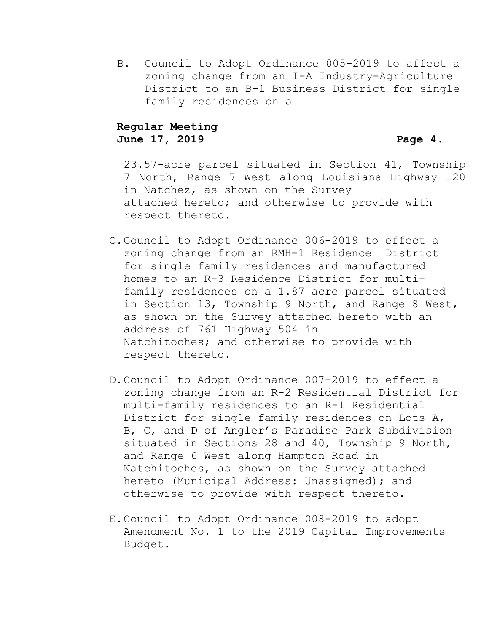B. Council to Adopt Ordinance 005-2019 to affect a zoning change from an I-A Industry-Agriculture District to an B-1 Business District for single family residences on a

### **Regular Meeting June 17, 2019 Page 4.**

23.57-acre parcel situated in Section 41, Township 7 North, Range 7 West along Louisiana Highway 120 in Natchez, as shown on the Survey attached hereto; and otherwise to provide with respect thereto.

- C.Council to Adopt Ordinance 006-2019 to effect a zoning change from an RMH-1 Residence District for single family residences and manufactured homes to an R-3 Residence District for multifamily residences on a 1.87 acre parcel situated in Section 13, Township 9 North, and Range 8 West, as shown on the Survey attached hereto with an address of 761 Highway 504 in Natchitoches; and otherwise to provide with respect thereto.
- D.Council to Adopt Ordinance 007-2019 to effect a zoning change from an R-2 Residential District for multi-family residences to an R-1 Residential District for single family residences on Lots A, B, C, and D of Angler's Paradise Park Subdivision situated in Sections 28 and 40, Township 9 North, and Range 6 West along Hampton Road in Natchitoches, as shown on the Survey attached hereto (Municipal Address: Unassigned); and otherwise to provide with respect thereto.
- E.Council to Adopt Ordinance 008-2019 to adopt Amendment No. 1 to the 2019 Capital Improvements Budget.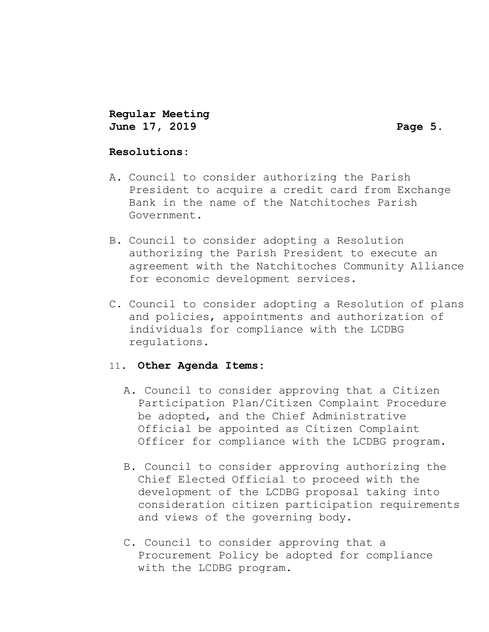**Regular Meeting June 17, 2019 Page 5.**

### **Resolutions:**

- A. Council to consider authorizing the Parish President to acquire a credit card from Exchange Bank in the name of the Natchitoches Parish Government.
- B. Council to consider adopting a Resolution authorizing the Parish President to execute an agreement with the Natchitoches Community Alliance for economic development services.
- C. Council to consider adopting a Resolution of plans and policies, appointments and authorization of individuals for compliance with the LCDBG regulations.

### 11**. Other Agenda Items:**

- A. Council to consider approving that a Citizen Participation Plan/Citizen Complaint Procedure be adopted, and the Chief Administrative Official be appointed as Citizen Complaint Officer for compliance with the LCDBG program.
- B. Council to consider approving authorizing the Chief Elected Official to proceed with the development of the LCDBG proposal taking into consideration citizen participation requirements and views of the governing body.
- C. Council to consider approving that a Procurement Policy be adopted for compliance with the LCDBG program.